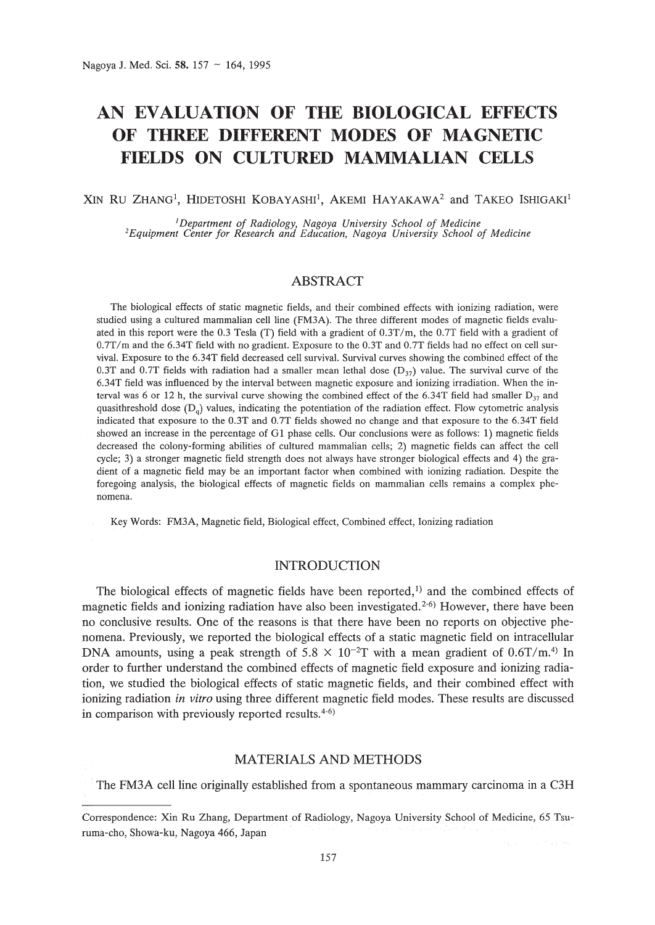# **AN EVALUATION OF THE BIOLOGICAL EFFECTS OF THREE DIFFERENT MODES OF MAGNETIC FIELDS ON CULTURED MAMMALIAN CELLS**

XIN RU ZHANG<sup>1</sup>, HIDETOSHI KOBAYASHI<sup>1</sup>, AKEMI HAYAKAWA<sup>2</sup> and TAKEO ISHIGAKI<sup>1</sup>

<sup>1</sup>Department of Radiology, Nagoya University School of Medicine<br>Equipment Center for Research and Education, Nagoya University School of Medicine<sup>2</sup>

# ABSTRACT

The biological effects of static magnetic fields, and their combined effects with ionizing radiation, were studied using a cultured mammalian cell line (FM3A). The three different modes of magnetic fields evaluated in this report were the 0.3 Tesla (T) field with a gradient of 0.3T/m, the 0.7T field with a gradient of 0.7T/m and the 6.34T field with no gradient. Exposure to the 0.3T and 0.7T fields had no effect on cell survival. Exposure to the 6.34T field decreased cell survival. Survival curves showing the combined effect of the 0.3T and 0.7T fields with radiation had a smaller mean lethal dose  $(D_{37})$  value. The survival curve of the 6.34T field was influenced by the interval between magnetic exposure and ionizing irradiation. When the interval was 6 or 12 h, the survival curve showing the combined effect of the 6.34T field had smaller  $D_{37}$  and quasithreshold dose  $(D<sub>q</sub>)$  values, indicating the potentiation of the radiation effect. Flow cytometric analysis indicated that exposure to the O.3T and 0.7T fields showed no change and that exposure to the 6.34T field showed an increase in the percentage of G1 phase cells. Our conclusions were as follows: 1) magnetic fields decreased the colony-forming abilities of cultured mammalian cells; 2) magnetic fields can affect the cell cycle; 3) a stronger magnetic field strength does not always have stronger biological effects and 4) the gradient of a magnetic field may be an important factor when combined with ionizing radiation. Despite the foregoing analysis, the biological effects of magnetic fields on mammalian cells remains a complex phenomena.

Key Words: FM3A, Magnetic field, Biological effect, Combined effect, Ionizing radiation

# INTRODUCTION

The biological effects of magnetic fields have been reported,<sup>1)</sup> and the combined effects of magnetic fields and ionizing radiation have also been investigated.<sup>2-6</sup> However, there have been no conclusive results. One of the reasons is that there have been no reports on objective phenomena. Previously, we reported the biological effects of a static magnetic field on intracellular DNA amounts, using a peak strength of  $5.8 \times 10^{-2}$ T with a mean gradient of  $0.6$ T/m.<sup>4)</sup> In order to further understand the combined effects of magnetic field exposure and ionizing radiation, we studied the biological effects of static magnetic fields, and their combined effect with ionizing radiation *in vitro* using three different magnetic field modes. These results are discussed in comparison with previously reported results. 4- 6)

## MATERIALS AND METHODS

The FM3A cell line originally established from a spontaneous mammary carcinoma in a C3H

Correspondence: Xin Ru Zhang, Department of Radiology, Nagoya University School of Medicine, 65 Tsuruma-cho, Showa-ku, Nagoya 466, Japan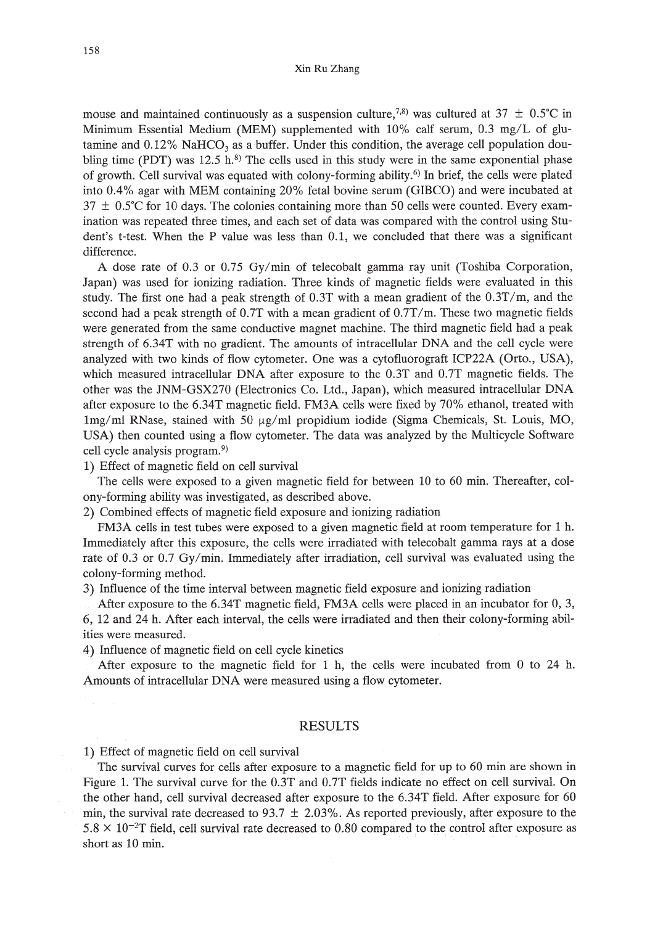mouse and maintained continuously as a suspension culture,<sup>7,8)</sup> was cultured at 37  $\pm$  0.5°C in Minimum Essential Medium (MEM) supplemented with 10% calf serum, 0.3 mg/L of glutamine and  $0.12\%$  NaHCO<sub>3</sub> as a buffer. Under this condition, the average cell population doubling time (PDT) was  $12.5$  h.<sup>8)</sup> The cells used in this study were in the same exponential phase of growth. Cell survival was equated with colony-forming ability.6) In brief, the cells were plated into 0.4% agar with MEM containing 20% fetal bovine serum (GIBCO) and were incubated at  $37 \pm 0.5^{\circ}$ C for 10 days. The colonies containing more than 50 cells were counted. Every examination was repeated three times, and each set of data was compared with the control using Student's t-test. When the P value was less than 0.1, we concluded that there was a significant difference.

A dose rate of 0.3 or 0.75 Gy/min of telecobalt gamma ray unit (Toshiba Corporation, Japan) was used for ionizing radiation. Three kinds of magnetic fields were evaluated in this study. The first one had a peak strength of  $0.3T$  with a mean gradient of the  $0.3T/m$ , and the second had a peak strength of 0.7T with a mean gradient of 0.7T/m. These two magnetic fields were generated from the same conductive magnet machine. The third magnetic field had a peak strength of 6.34T with no gradient. The amounts of intracellular DNA and the cell cycle were analyzed with two kinds of flow cytometer. One was a cytofluorograft ICP22A (Orto., USA), which measured intracellular DNA after exposure to the 0.3T and 0.7T magnetic fields. The other was the JNM-GSX270 (Electronics Co. Ltd., Japan), which measured intracellular DNA after exposure to the 6.34T magnetic field. FM3A cells were fixed by 70% ethanol, treated with  $1\,\text{mg/ml}$  RNase, stained with 50  $\mu$ g/ml propidium iodide (Sigma Chemicals, St. Louis, MO, USA) then counted using a flow cytometer. The data was analyzed by the Multicycle Software cell cycle analysis program.9)

1) Effect of magnetic field on cell survival

The cells were exposed to a given magnetic field for between 10 to 60 min. Thereafter, colony-forming ability was investigated, as described above.

2) Combined effects of magnetic field exposure and ionizing radiation

FM3A cells in test tubes were exposed to a given magnetic field at room temperature for 1 h. Immediately after this exposure, the cells were irradiated with telecobalt gamma rays at a dose rate of 0.3 or 0.7 Gy/min. Immediately after irradiation, cell survival was evaluated using the colony-forming method.

3) Influence of the time interval between magnetic field exposure and ionizing radiation

After exposure to the 6.34T magnetic field, FM3A cells were placed in an incubator for 0,3, 6, 12 and 24 h. After each interval, the cells were irradiated and then their colony-forming abilities were measured.

4) Influence of magnetic field on cell cycle kinetics

After exposure to the magnetic field for 1 h, the cells were incubated from 0 to 24 h. Amounts of intracellular DNA were measured using a flow cytometer.

#### RESULTS

1) Effect of magnetic field on cell survival

The survival curves for cells after exposure to a magnetic field for up to 60 min are shown in Figure 1. The survival curve for the 0.3T and 0.7T fields indicate no effect on cell survival. On the other hand, cell survival decreased after exposure to the 6.34T field. After exposure for 60 min, the survival rate decreased to 93.7  $\pm$  2.03%. As reported previously, after exposure to the  $5.8 \times 10^{-2}$ T field, cell survival rate decreased to 0.80 compared to the control after exposure as short as 10 min.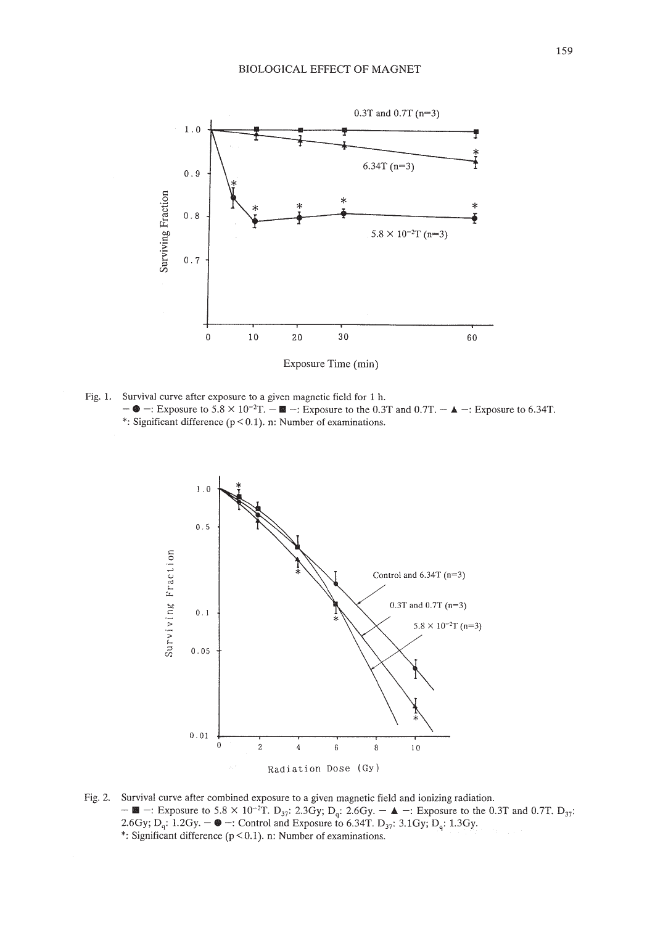

Fig. 1. Survival curve after exposure to a given magnetic field for 1 h. Survival curve after exposure to a given magnetic field for 1 h.<br>  $-\bullet$  -: Exposure to 5.8 × 10<sup>-2</sup>T. -  $\blacksquare$  -: Exposure to the 0.3T and 0.7T. -  $\blacktriangle$  -: Exposure to 6.34T. \*: Significant difference ( $p < 0.1$ ). n: Number of examinations.



Fig. 2. Survival curve after combined exposure to a given magnetic field and ionizing radiation.  $- \blacksquare$  -: Exposure to 5.8 × 10<sup>-2</sup>T. D<sub>37</sub>: 2.3Gy; D<sub>q</sub>: 2.6Gy. − ▲ -: Exposure to the 0.3T and 0.7T. D<sub>37</sub>: 2.6Gy; D<sub>q</sub>: 1.2Gy. − ● -: Control and Exposure to 6.34T. D<sub>37</sub>: 3.1Gy; D<sub>q</sub>: 1.3Gy. 2.6Gy;  $D_q$ : 1.2Gy.  $-\bullet$  -: Control and Exposure to 6.34T.  $D_{37}$ : 3.1Gy;  $D_q$ : 1.3Gy.<br>\*: Significant difference (p < 0.1). n: Number of examinations.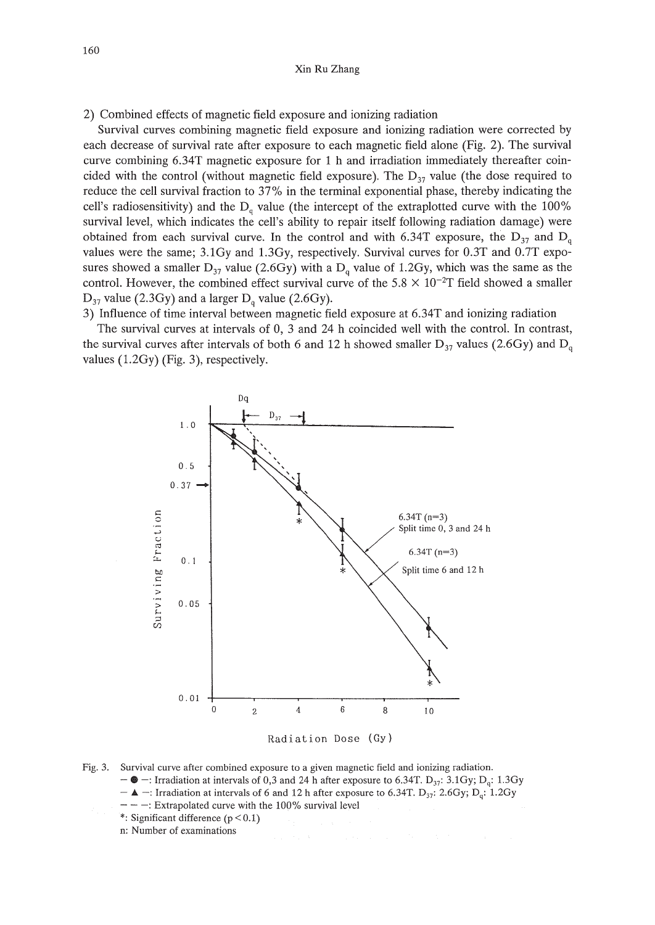2) Combined effects of magnetic field exposure and ionizing radiation

Survival curves combining magnetic field exposure and ionizing radiation were corrected by each decrease of survival rate after exposure to each magnetic field alone (Fig. 2). The survival curve combining 6.34T magnetic exposure for 1 h and irradiation immediately thereafter coincided with the control (without magnetic field exposure). The  $D_{37}$  value (the dose required to reduce the cell survival fraction to 37% in the terminal exponential phase, thereby indicating the cell's radiosensitivity) and the  $D_q$  value (the intercept of the extraplotted curve with the 100% survival level, which indicates the cell's ability to repair itself following radiation damage) were obtained from each survival curve. In the control and with 6.34T exposure, the  $D_{37}$  and  $D_{q}$ values were the same; 3.1Gy and 1.3Gy, respectively. Survival curves for 0.3T and 0.7T exposures showed a smaller  $D_{37}$  value (2.6Gy) with a  $D_q$  value of 1.2Gy, which was the same as the control. However, the combined effect survival curve of the  $5.8 \times 10^{-2}$ T field showed a smaller  $D_{37}$  value (2.3Gy) and a larger  $D_q$  value (2.6Gy).

3) Influence of time interval between magnetic field exposure at 6.34T and ionizing radiation

The survival curves at intervals of 0, 3 and 24 h coincided well with the control. In contrast, the survival curves after intervals of both 6 and 12 h showed smaller  $D_{37}$  values (2.6Gy) and  $D_{q}$ values (1.2Gy) (Fig. 3), respectively.





- $\bullet$  -: Irradiation at intervals of 0,3 and 24 h after exposure to 6.34T.  $D_{37}$ : 3.1Gy;  $D_{\alpha}$ : 1.3Gy
- $\blacktriangle$  -: Irradiation at intervals of 6 and 12 h after exposure to 6.34T. D<sub>37</sub>: 2.6Gy; D<sub>q</sub>: 1.2Gy
- $-$ : Extrapolated curve with the 100% survival level
- \*: Significant difference  $(p < 0.1)$
- n: Number of examinations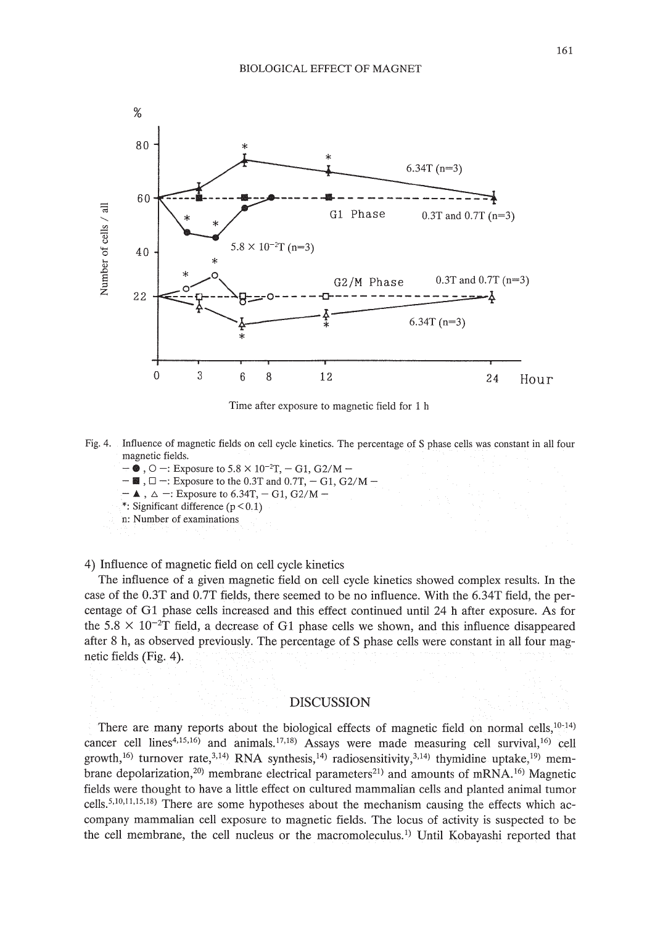

Time after exposure to magnetic field for 1 h

- Fig. 4. Influence of magnetic fields on cell cycle kinetics. The percentage of S phase cells was constant in all four magnetic fields. magnetic fields.<br>  $\bullet$ ,  $\circ$   $-$ : Exposure to 5.8  $\times$  10<sup>-2</sup>T,  $-$  G1, G2/M  $-$ 
	-
	- $\blacksquare$ ,  $\square$  -: Exposure to the 0.3T and 0.7T, G1, G2/M -
	- $-$  **A**,  $\Delta$  -: Exposure to 6.34T, G1, G2/M-
	- \*: Significant difference  $(p < 0.1)$
	- n: Number of examinations

4) Influence of magnetic field on cell cycle kinetics

The influence of a given magnetic field on cell cycle kinetics showed complex results. In the case of the O.3T and O.7T fields, there seemed to be no influence. With the 6.34T field, the percentage of Gl phase cells increased and this effect continued until 24 h after exposure. As for the  $5.8 \times 10^{-2}$ T field, a decrease of G1 phase cells we shown, and this influence disappeared after 8 h, as observed previously. The percentage of S phase cells were constant in all four magnetic fields (Fig. 4).

### DISCUSSION

There are many reports about the biological effects of magnetic field on normal cells, $10-14$ ) cancer cell lines<sup>4,15,16</sup>) and animals.<sup>17,18</sup>) Assays were made measuring cell survival,<sup>16</sup>) cell growth,<sup>16)</sup> turnover rate,<sup>3,14)</sup> RNA synthesis,<sup>14)</sup> radiosensitivity,<sup>3,14)</sup> thymidine uptake,<sup>19)</sup> membrane depolarization,<sup>20)</sup> membrane electrical parameters<sup>21</sup> and amounts of mRNA.<sup>16)</sup> Magnetic fields were thought to have a little effect on cultured mammalian cells and planted animal tumor celIs.5.10.11.15.18) There are some hypotheses about the mechanism causing the effects which accompany mammalian cell exposure to magnetic fields. The locus of activity is suspected to be the cell membrane, the cell nucleus or the macromoleculus. 1) Until Kobayashi reported that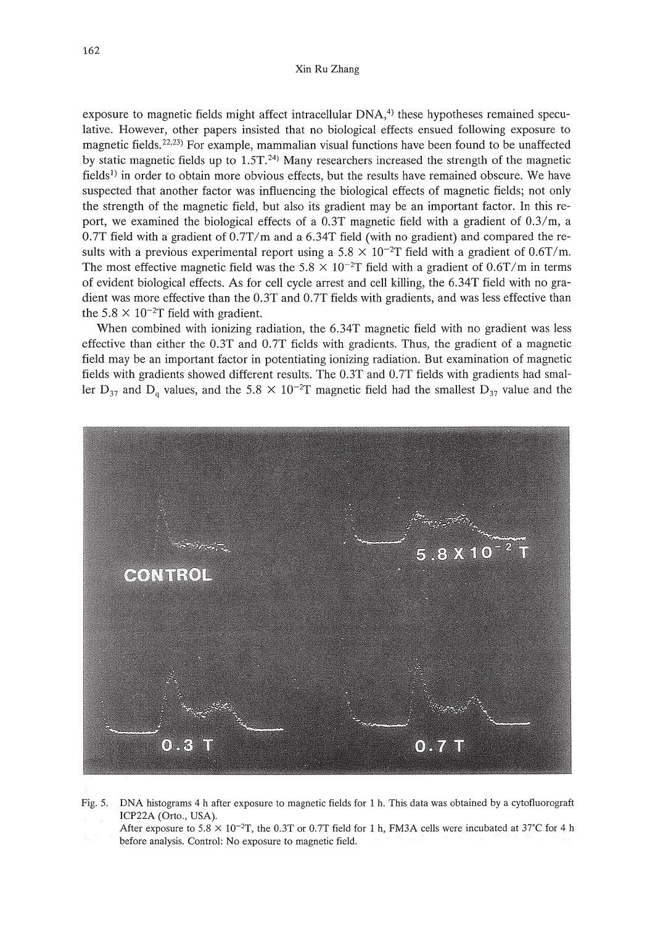exposure to magnetic fields might affect intracellular  $DNA<sub>1</sub><sup>4</sup>$  these hypotheses remained speculative. However, other papers insisted that no biological effects ensued following exposure to magnetic fields.<sup>22,23)</sup> For example, mammalian visual functions have been found to be unaffected by static magnetic fields up to  $1.5T<sup>24</sup>$  Many researchers increased the strength of the magnetic fields<sup>1)</sup> in order to obtain more obvious effects, but the results have remained obscure. We have suspected that another factor was influencing the biological effects of magnetic fields; not only the strength of the magnetic field, but also its gradient may be an important factor. **In** this report, we examined the biological effects of a O.3T magnetic field with a gradient of *O.3/m,* a O.7T field with a gradient of *O.7T/m* and a 6.34T field (with no gradient) and compared the results with a previous experimental report using a  $5.8 \times 10^{-2}$ T field with a gradient of 0.6T/m. The most effective magnetic field was the 5.8  $\times$  10<sup>-2</sup>T field with a gradient of 0.6T/m in terms of evident biological effects. As for cell cycle arrest and cell killing, the 6.34T field with no gradient was more effective than the O.3T and O.7T fields with gradients, and was less effective than the  $5.8 \times 10^{-2}$ T field with gradient.

When combined with ionizing radiation, the 6.34T magnetic field with no gradient was less effective than either the O.3T and O.7T fields with gradients. Thus, the gradient of a magnetic field may be an important factor in potentiating ionizing radiation. But examination of magnetic fields with gradients showed different results. The O.3T and O.7T fields with gradients had smaller  $D_{37}$  and  $D_q$  values, and the 5.8  $\times$  10<sup>-2</sup>T magnetic field had the smallest  $D_{37}$  value and the



Fig. 5. DNA histograms 4 h after exposure to magnetic fields for 1 h. This data was obtained by a cytofiuorograft lCP22A (Orto., USA).

After exposure to  $5.8 \times 10^{-2}$ T, the 0.3T or 0.7T field for 1 h, FM3A cells were incubated at 37°C for 4 h before analysis. Control: No exposure to magnetic field.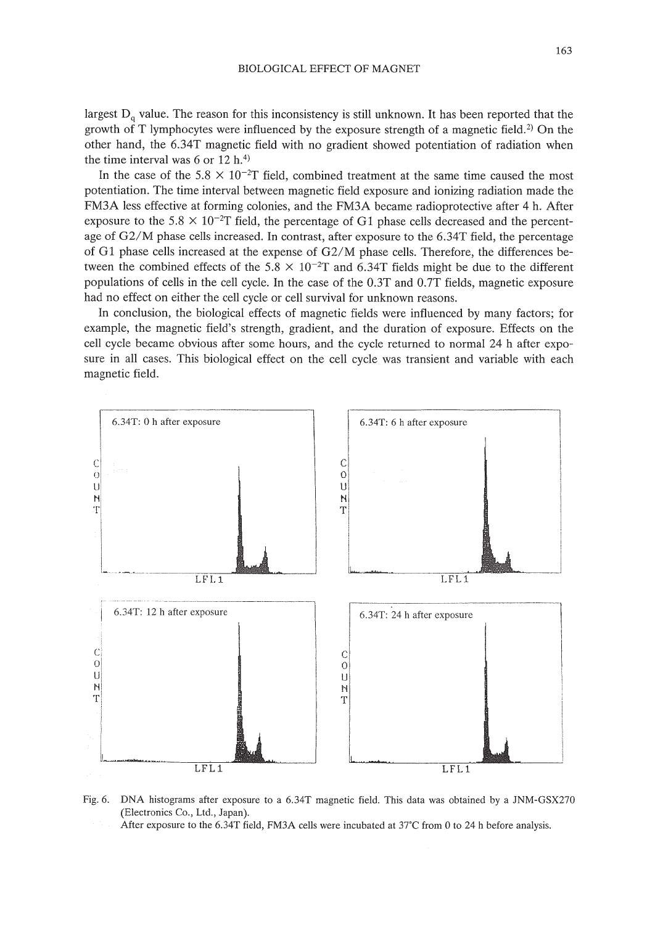largest  $D_q$  value. The reason for this inconsistency is still unknown. It has been reported that the growth of T lymphocytes were influenced by the exposure strength of a magnetic field.<sup>2</sup> On the other hand, the 6.34T magnetic field with no gradient showed potentiation of radiation when the time interval was  $6$  or  $12$  h.<sup>4)</sup>

In the case of the 5.8  $\times$  10<sup>-2</sup>T field, combined treatment at the same time caused the most potentiation. The time interval between magnetic field exposure and ionizing radiation made the FM3A less effective at forming colonies, and the FM3A became radioprotective after 4 h. After exposure to the 5.8  $\times$  10<sup>-2</sup>T field, the percentage of G1 phase cells decreased and the percentage of G2/M phase cells increased. In contrast, after exposure to the 6.34T field, the percentage of G1 phase cells increased at the expense of G2/M phase cells. Therefore, the differences between the combined effects of the 5.8  $\times$  10<sup>-2</sup>T and 6.34T fields might be due to the different populations of cells in the cell cycle. In the case of the O.3T and O.7T fields, magnetic exposure had no effect on either the cell cycle or cell survival for unknown reasons.

In conclusion, the biological effects of magnetic fields were influenced by many factors; for example, the magnetic field's strength, gradient, and the duration of exposure. Effects on the cell cycle became obvious after some hours, and the cycle returned to normal 24 h after exposure in all cases. This biological effect on the cell cycle was transient and variable with each magnetic field.



Fig. 6. DNA histograms after exposure to a 6.34T magnetic field. This data was obtained by a JNM-GSX270 (Electronics Co., Ltd., Japan).

After exposure to the 6.34T field, FM3A cells were incubated at 37°C from 0 to 24 h before analysis.